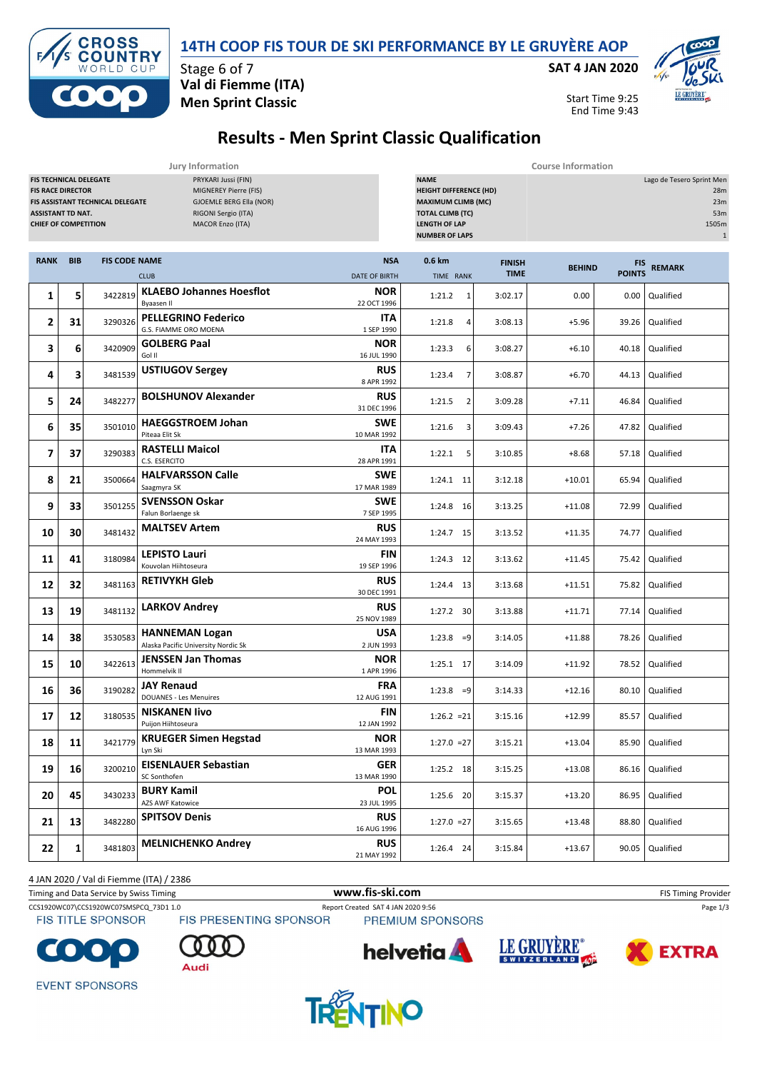

**SAT 4 JAN 2020**



Start Time 9:25 End Time 9:43



Stage 6 of 7 **Val di Fiemme (ITA) Men Sprint Classic**

## **Results - Men Sprint Classic Qualification**

|                                                                                                                      |            |                                         | Jury Information                                                                                                   | <b>Course Information</b>                                                                                                                             |                          |                              |               |                                                                         |                 |
|----------------------------------------------------------------------------------------------------------------------|------------|-----------------------------------------|--------------------------------------------------------------------------------------------------------------------|-------------------------------------------------------------------------------------------------------------------------------------------------------|--------------------------|------------------------------|---------------|-------------------------------------------------------------------------|-----------------|
| <b>FIS TECHNICAL DELEGATE</b><br><b>FIS RACE DIRECTOR</b><br><b>ASSISTANT TD NAT.</b><br><b>CHIEF OF COMPETITION</b> |            | <b>FIS ASSISTANT TECHNICAL DELEGATE</b> | PRYKARI Jussi (FIN)<br>MIGNEREY Pierre (FIS)<br>GJOEMLE BERG Ella (NOR)<br>RIGONI Sergio (ITA)<br>MACOR Enzo (ITA) | <b>NAME</b><br><b>HEIGHT DIFFERENCE (HD)</b><br><b>MAXIMUM CLIMB (MC)</b><br><b>TOTAL CLIMB (TC)</b><br><b>LENGTH OF LAP</b><br><b>NUMBER OF LAPS</b> |                          |                              |               | Lago de Tesero Sprint Men<br>28m<br>23m<br>53m<br>1505m<br>$\mathbf{1}$ |                 |
| <b>RANK</b>                                                                                                          | <b>BIB</b> | <b>FIS CODE NAME</b>                    | <b>CLUB</b>                                                                                                        | <b>NSA</b><br><b>DATE OF BIRTH</b>                                                                                                                    | 0.6 km<br>TIME RANK      | <b>FINISH</b><br><b>TIME</b> | <b>BEHIND</b> | <b>FIS</b><br><b>POINTS</b>                                             | <b>REMARK</b>   |
| 1                                                                                                                    | 5          | 3422819                                 | <b>KLAEBO Johannes Hoesflot</b><br>Byaasen II                                                                      | <b>NOR</b><br>22 OCT 1996                                                                                                                             | 1:21.2<br>1              | 3:02.17                      | 0.00          | 0.00                                                                    | Qualified       |
| 2                                                                                                                    | 31         | 3290326                                 | <b>PELLEGRINO Federico</b><br>G.S. FIAMME ORO MOENA                                                                | ITA<br>1 SEP 1990                                                                                                                                     | 1:21.8<br>4              | 3:08.13                      | $+5.96$       | 39.26                                                                   | Qualified       |
| з                                                                                                                    | 6          | 3420909                                 | <b>GOLBERG Paal</b><br>Gol II                                                                                      | <b>NOR</b><br>16 JUL 1990                                                                                                                             | 1:23.3<br>6              | 3:08.27                      | $+6.10$       | 40.18                                                                   | Qualified       |
| 4                                                                                                                    | 3          | 3481539                                 | <b>USTIUGOV Sergey</b>                                                                                             | <b>RUS</b><br>8 APR 1992                                                                                                                              | 1:23.4                   | 3:08.87                      | $+6.70$       | 44.13                                                                   | Qualified       |
| 5                                                                                                                    | 24         | 3482277                                 | <b>BOLSHUNOV Alexander</b>                                                                                         | <b>RUS</b><br>31 DEC 1996                                                                                                                             | 1:21.5<br>$\overline{2}$ | 3:09.28                      | $+7.11$       | 46.84                                                                   | Qualified       |
| 6                                                                                                                    | 35         | 3501010                                 | <b>HAEGGSTROEM Johan</b><br>Piteaa Elit Sk                                                                         | <b>SWE</b><br>10 MAR 1992                                                                                                                             | 1:21.6<br>3              | 3:09.43                      | $+7.26$       | 47.82                                                                   | Qualified       |
| $\overline{7}$                                                                                                       | 37         | 3290383                                 | <b>RASTELLI Maicol</b><br>C.S. ESERCITO                                                                            | <b>ITA</b><br>28 APR 1991                                                                                                                             | 1:22.1<br>5              | 3:10.85                      | $+8.68$       | 57.18                                                                   | Qualified       |
| 8                                                                                                                    | 21         | 3500664                                 | <b>HALFVARSSON Calle</b><br>Saagmyra SK                                                                            | <b>SWE</b><br>17 MAR 1989                                                                                                                             | $1:24.1$ 11              | 3:12.18                      | $+10.01$      | 65.94                                                                   | Qualified       |
| 9                                                                                                                    | 33         | 3501255                                 | <b>SVENSSON Oskar</b><br>Falun Borlaenge sk                                                                        | <b>SWE</b><br>7 SEP 1995                                                                                                                              | 1:24.8 16                | 3:13.25                      | $+11.08$      | 72.99                                                                   | Qualified       |
| 10                                                                                                                   | 30         | 3481432                                 | <b>MALTSEV Artem</b>                                                                                               | <b>RUS</b><br>24 MAY 1993                                                                                                                             | 1:24.7 15                | 3:13.52                      | $+11.35$      | 74.77                                                                   | Qualified       |
| 11                                                                                                                   | 41         | 3180984                                 | <b>LEPISTO Lauri</b><br>Kouvolan Hiihtoseura                                                                       | FIN<br>19 SEP 1996                                                                                                                                    | 1:24.3 12                | 3:13.62                      | $+11.45$      | 75.42                                                                   | Qualified       |
| 12                                                                                                                   | 32         | 3481163                                 | <b>RETIVYKH Gleb</b>                                                                                               | <b>RUS</b><br>30 DEC 1991                                                                                                                             | 1:24.4 13                | 3:13.68                      | $+11.51$      | 75.82                                                                   | Qualified       |
| 13                                                                                                                   | 19         | 3481132                                 | <b>LARKOV Andrey</b>                                                                                               | <b>RUS</b><br>25 NOV 1989                                                                                                                             | 1:27.2 30                | 3:13.88                      | $+11.71$      | 77.14                                                                   | Qualified       |
| 14                                                                                                                   | 38         | 3530583                                 | <b>HANNEMAN Logan</b><br>Alaska Pacific University Nordic Sk                                                       | <b>USA</b><br>2 JUN 1993                                                                                                                              | $1:23.8 = 9$             | 3:14.05                      | $+11.88$      | 78.26                                                                   | Qualified       |
| 15                                                                                                                   | 10         | 3422613                                 | <b>JENSSEN Jan Thomas</b><br>Hommelvik II                                                                          | <b>NOR</b><br>1 APR 1996                                                                                                                              | 1:25.1 17                | 3:14.09                      | $+11.92$      | 78.52                                                                   | Qualified       |
| 16                                                                                                                   | 36         | 3190282                                 | <b>JAY Renaud</b><br><b>DOUANES - Les Menuires</b>                                                                 | <b>FRA</b><br>12 AUG 1991                                                                                                                             | $1:23.8 = 9$             | 3:14.33                      | $+12.16$      | 80.10                                                                   | Qualified       |
| 17                                                                                                                   | 12         | 3180535                                 | <b>NISKANEN livo</b><br>Puijon Hiihtoseura                                                                         | FIN<br>12 JAN 1992                                                                                                                                    | $1:26.2 = 21$            | 3:15.16                      | $+12.99$      | 85.57                                                                   | Qualified       |
| 18                                                                                                                   | 11         |                                         | 3421779 KRUEGER Simen Hegstad<br>Lyn Ski                                                                           | <b>NOR</b><br>13 MAR 1993                                                                                                                             | $1:27.0 = 27$            | 3:15.21                      | $+13.04$      |                                                                         | 85.90 Qualified |
| 19                                                                                                                   | 16         | 3200210                                 | <b>EISENLAUER Sebastian</b><br>SC Sonthofen                                                                        | <b>GER</b><br>13 MAR 1990                                                                                                                             | 1:25.2 18                | 3:15.25                      | $+13.08$      | 86.16                                                                   | Qualified       |
| 20                                                                                                                   | 45         | 3430233                                 | <b>BURY Kamil</b><br><b>AZS AWF Katowice</b>                                                                       | <b>POL</b><br>23 JUL 1995                                                                                                                             | 1:25.6 20                | 3:15.37                      | $+13.20$      | 86.95                                                                   | Qualified       |
| 21                                                                                                                   | 13         | 3482280                                 | <b>SPITSOV Denis</b>                                                                                               | <b>RUS</b><br>16 AUG 1996                                                                                                                             | $1:27.0 = 27$            | 3:15.65                      | $+13.48$      | 88.80                                                                   | Qualified       |
| 22                                                                                                                   | 1          | 3481803                                 | <b>MELNICHENKO Andrey</b>                                                                                          | <b>RUS</b><br>21 MAY 1992                                                                                                                             | 1:26.4 24                | 3:15.84                      | $+13.67$      |                                                                         | 90.05 Qualified |

4 JAN 2020 / Val di Fiemme (ITA) / 2386

Timing and Data Service by Swiss Timing **WWW.fis-Ski.com WWW.fis-Ski.com** FIS Timing Provider

**FIS TITLE SPONSOR** 

CCS1920WC07\CCS1920WC07SMSPCQ\_73D1 1.0 Report Created SAT 4 JAN 2020 9:56 Page 1/3<br>
FIS TITLE SPONSOR FIS PRESENTING SPONSOR PREMIUM SPONSORS **PREMIUM SPONSORS** 



Audi







**EVENT SPONSORS** 

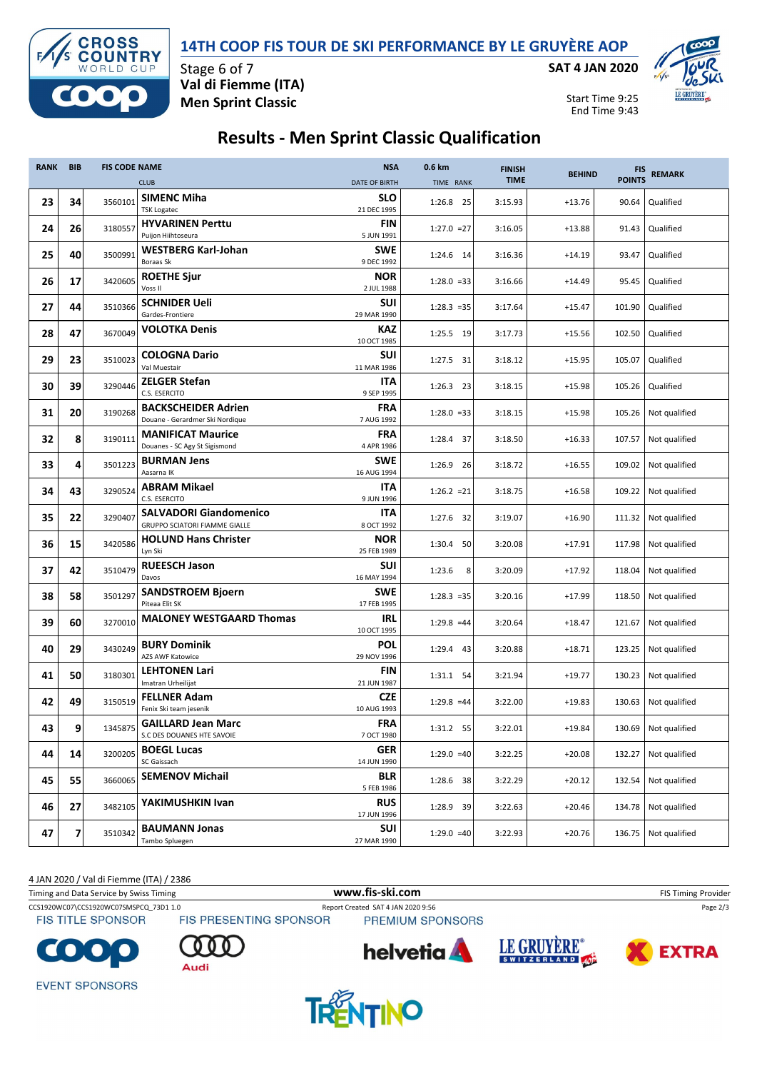

Stage 6 of 7

**Val di Fiemme (ITA) Men Sprint Classic**

OSS

**OUNTRY** CUP  $\Box$ 

 $\overline{\mathbf{C}}$ 

Start Time 9:25

**SAT 4 JAN 2020**



End Time 9:43

## **Results - Men Sprint Classic Qualification**

| <b>RANK</b> | <b>BIB</b> | <b>FIS CODE NAME</b> |                                                                       | <b>NSA</b>                | 0.6 km        | <b>FINISH</b> | <b>BEHIND</b> | <b>FIS</b>    | <b>REMARK</b>        |
|-------------|------------|----------------------|-----------------------------------------------------------------------|---------------------------|---------------|---------------|---------------|---------------|----------------------|
|             |            |                      | <b>CLUB</b>                                                           | <b>DATE OF BIRTH</b>      | TIME RANK     | <b>TIME</b>   |               | <b>POINTS</b> |                      |
| 23          | 34         | 3560101              | <b>SIMENC Miha</b><br><b>TSK Logatec</b>                              | <b>SLO</b><br>21 DEC 1995 | 1:26.8 25     | 3:15.93       | $+13.76$      | 90.64         | Qualified            |
| 24          | 26         | 3180557              | <b>HYVARINEN Perttu</b><br>Puijon Hiihtoseura                         | FIN<br>5 JUN 1991         | $1:27.0 = 27$ | 3:16.05       | $+13.88$      | 91.43         | Qualified            |
| 25          | 40         | 3500991              | <b>WESTBERG Karl-Johan</b><br>Boraas Sk                               | <b>SWE</b><br>9 DEC 1992  | 1:24.6 14     | 3:16.36       | $+14.19$      | 93.47         | Qualified            |
| 26          | 17         | 3420605              | <b>ROETHE Sjur</b><br>Voss II                                         | <b>NOR</b><br>2 JUL 1988  | $1:28.0 = 33$ | 3:16.66       | $+14.49$      | 95.45         | Qualified            |
| 27          | 44         | 3510366              | <b>SCHNIDER Ueli</b><br>Gardes-Frontiere                              | SUI<br>29 MAR 1990        | $1:28.3 = 35$ | 3:17.64       | $+15.47$      | 101.90        | Qualified            |
| 28          | 47         | 3670049              | <b>VOLOTKA Denis</b>                                                  | <b>KAZ</b><br>10 OCT 1985 | 1:25.5 19     | 3:17.73       | $+15.56$      | 102.50        | Qualified            |
| 29          | 23         | 3510023              | <b>COLOGNA Dario</b><br>Val Muestair                                  | SUI<br>11 MAR 1986        | 1:27.5 31     | 3:18.12       | $+15.95$      | 105.07        | Qualified            |
| 30          | 39         | 3290446              | <b>ZELGER Stefan</b><br>C.S. ESERCITO                                 | ITA<br>9 SEP 1995         | $1:26.3$ 23   | 3:18.15       | $+15.98$      | 105.26        | Qualified            |
| 31          | 20         | 3190268              | <b>BACKSCHEIDER Adrien</b><br>Douane - Gerardmer Ski Nordique         | FRA<br>7 AUG 1992         | $1:28.0 = 33$ | 3:18.15       | $+15.98$      | 105.26        | Not qualified        |
| 32          | 8          | 3190111              | <b>MANIFICAT Maurice</b><br>Douanes - SC Agy St Sigismond             | <b>FRA</b><br>4 APR 1986  | 1:28.4 37     | 3:18.50       | $+16.33$      | 107.57        | Not qualified        |
| 33          | 4          | 3501223              | <b>BURMAN Jens</b><br>Aasarna IK                                      | <b>SWE</b><br>16 AUG 1994 | 1:26.9 26     | 3:18.72       | $+16.55$      | 109.02        | Not qualified        |
| 34          | 43         | 3290524              | <b>ABRAM Mikael</b><br>C.S. ESERCITO                                  | <b>ITA</b><br>9 JUN 1996  | $1:26.2 = 21$ | 3:18.75       | $+16.58$      | 109.22        | Not qualified        |
| 35          | 22         | 3290407              | <b>SALVADORI Giandomenico</b><br><b>GRUPPO SCIATORI FIAMME GIALLE</b> | <b>ITA</b><br>8 OCT 1992  | 1:27.6 32     | 3:19.07       | $+16.90$      | 111.32        | Not qualified        |
| 36          | 15         | 3420586              | <b>HOLUND Hans Christer</b><br>Lyn Ski                                | <b>NOR</b><br>25 FEB 1989 | 1:30.4 50     | 3:20.08       | $+17.91$      | 117.98        | Not qualified        |
| 37          | 42         | 3510479              | <b>RUEESCH Jason</b><br>Davos                                         | SUI<br>16 MAY 1994        | 1:23.6<br>8   | 3:20.09       | $+17.92$      | 118.04        | Not qualified        |
| 38          | 58         | 3501297              | <b>SANDSTROEM Bjoern</b><br>Piteaa Elit SK                            | <b>SWE</b><br>17 FEB 1995 | $1:28.3 = 35$ | 3:20.16       | $+17.99$      | 118.50        | Not qualified        |
| 39          | 60         | 3270010              | <b>MALONEY WESTGAARD Thomas</b>                                       | IRL<br>10 OCT 1995        | $1:29.8 = 44$ | 3:20.64       | $+18.47$      | 121.67        | Not qualified        |
| 40          | 29         | 3430249              | <b>BURY Dominik</b><br><b>AZS AWF Katowice</b>                        | <b>POL</b><br>29 NOV 1996 | 1:29.4 43     | 3:20.88       | $+18.71$      | 123.25        | Not qualified        |
| 41          | 50         | 3180301              | <b>LEHTONEN Lari</b><br>Imatran Urheilijat                            | FIN<br>21 JUN 1987        | 1:31.1 54     | 3:21.94       | $+19.77$      | 130.23        | Not qualified        |
| 42          | 49         | 3150519              | <b>FELLNER Adam</b><br>Fenix Ski team jesenik                         | <b>CZE</b><br>10 AUG 1993 | $1:29.8 = 44$ | 3:22.00       | $+19.83$      | 130.63        | Not qualified        |
| 43          | 9          | 1345875              | <b>GAILLARD Jean Marc</b><br>S.C DES DOUANES HTE SAVOIE               | <b>FRA</b><br>7 OCT 1980  | 1:31.2 55     | 3:22.01       | $+19.84$      |               | 130.69 Not qualified |
| 44          | 14         | 3200205              | <b>BOEGL Lucas</b><br>SC Gaissach                                     | <b>GER</b><br>14 JUN 1990 | $1:29.0 = 40$ | 3:22.25       | $+20.08$      | 132.27        | Not qualified        |
| 45          | 55         | 3660065              | <b>SEMENOV Michail</b>                                                | <b>BLR</b><br>5 FEB 1986  | 1:28.6 38     | 3:22.29       | $+20.12$      | 132.54        | Not qualified        |
| 46          | 27         | 3482105              | YAKIMUSHKIN Ivan                                                      | <b>RUS</b><br>17 JUN 1996 | 1:28.9 39     | 3:22.63       | $+20.46$      | 134.78        | Not qualified        |
| 47          | 7          | 3510342              | <b>BAUMANN Jonas</b><br>Tambo Spluegen                                | SUI<br>27 MAR 1990        | $1:29.0 = 40$ | 3:22.93       | $+20.76$      | 136.75        | Not qualified        |

4 JAN 2020 / Val di Fiemme (ITA) / 2386

Timing and Data Service by Swiss Timing **WWW.fis-Ski.com WWW.fis-Ski.com** FIS Timing Provider CCS1920WC07\CCS1920WC07SMSPCQ\_73D1 1.0 Report Created SAT 4 JAN 2020 9:56 Page 2/3<br>
FIS TITLE SPONSOR FIS PRESENTING SPONSOR PREMIUM SPONSORS **FIS TITLE SPONSOR PREMIUM SPONSORS** LE GRUYÈRE® **helvetia EXTRA** Audi